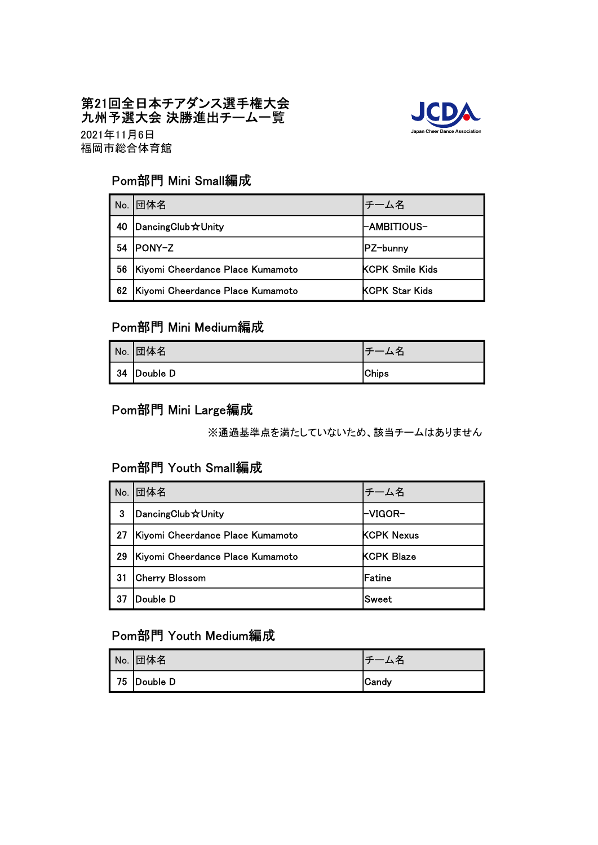#### 第21回全日本チアダンス選手権大会 九州予選大会 決勝進出チーム一覧



福岡市総合体育館 2021年11月6日

## Pom部門 Mini Small編成

| No. | 団体名                              | チーム名                   |
|-----|----------------------------------|------------------------|
| 40  | DancingClub x Unity              | -AMBITIOUS-            |
| 54  | <b>IPONY-Z</b>                   | IPZ-bunnv              |
| 56  | Kiyomi Cheerdance Place Kumamoto | <b>KCPK Smile Kids</b> |
| 62  | Kiyomi Cheerdance Place Kumamoto | <b>KCPK Star Kids</b>  |

# Pom部門 Mini Medium編成

| No. <b>団体名</b> | 厶名           |
|----------------|--------------|
| 34 Double D    | <b>Chips</b> |

## Pom部門 Mini Large編成

※通過基準点を満たしていないため、該当チームはありません

#### Pom部門 Youth Small編成

| No. | <b> 団体名</b>                      | チーム名              |
|-----|----------------------------------|-------------------|
| 3   | DancingClub x Unity              | -VIGOR-           |
| 27  | Kiyomi Cheerdance Place Kumamoto | <b>KCPK Nexus</b> |
| 29  | Kiyomi Cheerdance Place Kumamoto | <b>KCPK Blaze</b> |
| 31  | <b>Cherry Blossom</b>            | lFatine           |
| 37  | Double D                         | Sweet             |

# Pom部門 Youth Medium編成

| No. <b>団体名</b> | 、名           |
|----------------|--------------|
| 75 Double D    | <b>Candy</b> |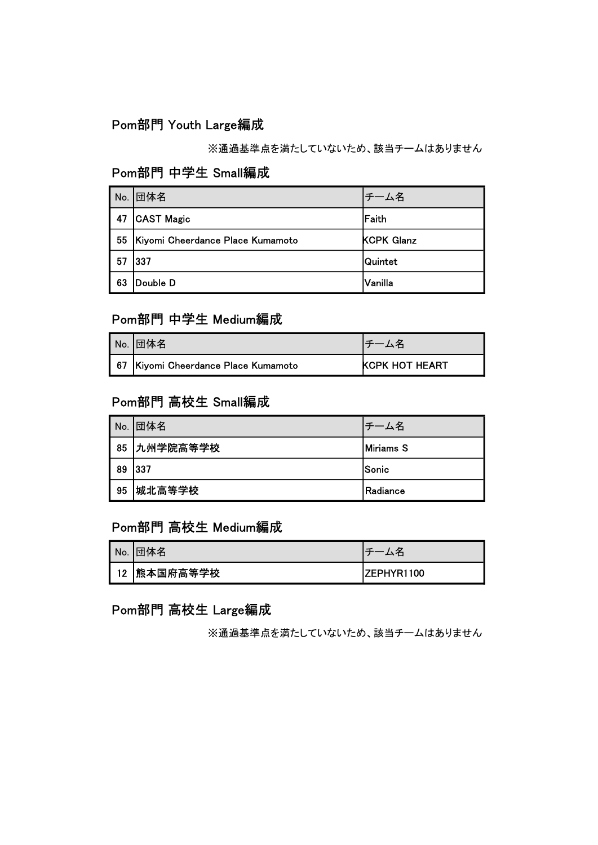# Pom部門 Youth Large編成

※通過基準点を満たしていないため、該当チームはありません

# Pom部門 中学生 Small編成

| No. | 団体名                              | チーム名              |
|-----|----------------------------------|-------------------|
| 47  | CAST Magic                       | lFaith            |
| 55  | Kiyomi Cheerdance Place Kumamoto | <b>KCPK Glanz</b> |
| 57  | 337                              | Quintet           |
| 63  | Double D                         | Vanilla           |

# Pom部門 中学生 Medium編成

| No.  団体名                            |                       |
|-------------------------------------|-----------------------|
| 67 Kiyomi Cheerdance Place Kumamoto | <b>KCPK HOT HEART</b> |

#### Pom部門 高校生 Small編成

|    | No. <b>団体名</b> | 一厶名        |
|----|----------------|------------|
|    | 85 九州学院高等学校    | Miriams S  |
| 89 | $ 337$         | Sonic      |
| 95 | 城北高等学校         | l Radiance |

# Pom部門 高校生 Medium編成

| No.  団体名       |                    |
|----------------|--------------------|
| │ 12 │熊本国府高等学校 | <b>IZEPHYR1100</b> |

## Pom部門 高校生 Large編成

※通過基準点を満たしていないため、該当チームはありません